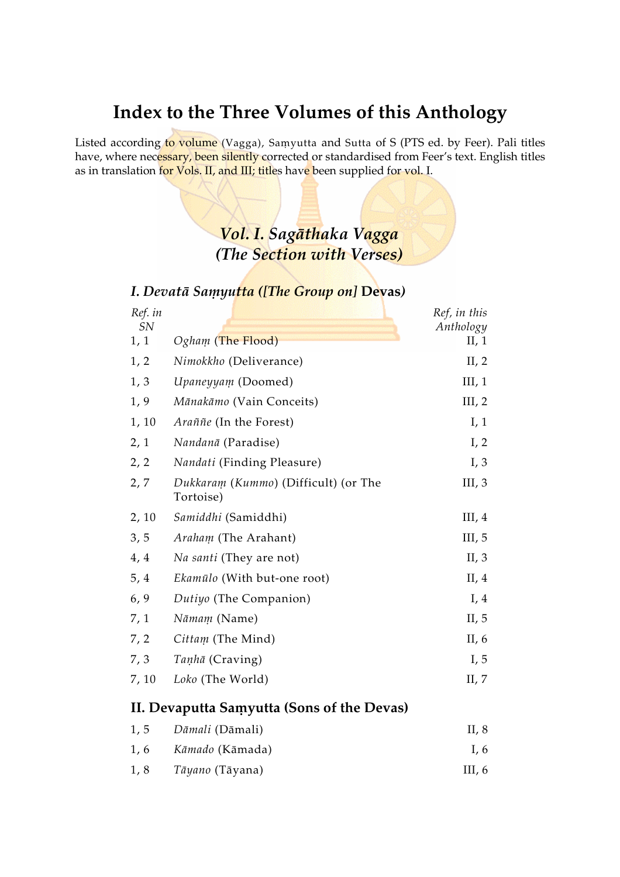# Index to the Three Volumes of this Anthology

Listed according to volume (Vagga), Samyutta and Sutta of S (PTS ed. by Feer). Pali titles have, where necessary, been silently corrected or standardised from Feer's text. English titles as in translation for Vols. II, and III; titles have been supplied for vol. I.

## Vol. I. Sagāthaka Vagga (The Section with Verses)

#### I. Devatā Samyutta ([The Group on] Devas)

| Ref. in<br>SN |                                                   | Ref, in this<br>Anthology |
|---------------|---------------------------------------------------|---------------------------|
| 1, 1          | Ogham (The Flood)                                 | II, $1$                   |
| 1, 2          | Nimokkho (Deliverance)                            | II, $2$                   |
| 1, 3          | Upaneyyam (Doomed)                                | III, 1                    |
| 1, 9          | Mānakāmo (Vain Conceits)                          | III, 2                    |
| 1, 10         | Araññe (In the Forest)                            | I, 1                      |
| 2, 1          | Nandanā (Paradise)                                | I, 2                      |
| 2, 2          | Nandati (Finding Pleasure)                        | I, 3                      |
| 2, 7          | Dukkaram (Kummo) (Difficult) (or The<br>Tortoise) | III, $3$                  |
| 2, 10         | Samiddhi (Samiddhi)                               | III, $4$                  |
| 3, 5          | Araham (The Arahant)                              | III, $5$                  |
| 4, 4          | Na santi (They are not)                           | II, $3$                   |
| 5, 4          | Ekamūlo (With but-one root)                       | II, $4$                   |
| 6, 9          | Dutiyo (The Companion)                            | I, 4                      |
| 7, 1          | Nāmam (Name)                                      | II, $5$                   |
| 7, 2          | Cittam (The Mind)                                 | II, $6$                   |
| 7,3           | Tanhā (Craving)                                   | I, 5                      |
| 7, 10         | Loko (The World)                                  | II, $7$                   |
|               | II. Devaputta Samyutta (Sons of the Devas)        |                           |
| 1, 5          | Dāmali (Dāmali)                                   | II, 8                     |
| 1, 6          | Kāmado (Kāmada)                                   | I, 6                      |

1, 8 Táyano (Táyana) III, 6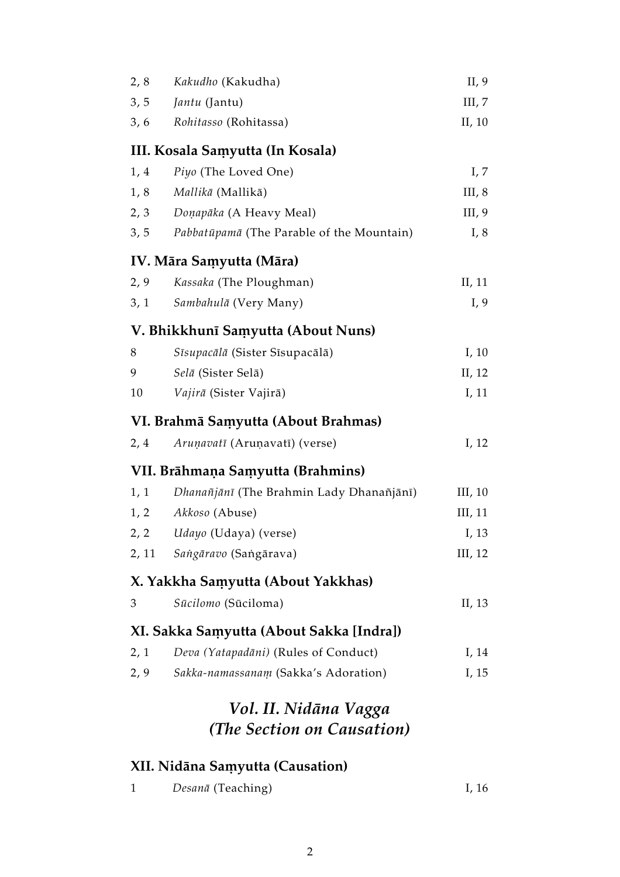| 2, 8 | Kakudho (Kakudha)                         | II, $9$  |
|------|-------------------------------------------|----------|
| 3, 5 | <i>Jantu</i> (Jantu)                      | III, 7   |
| 3, 6 | Rohitasso (Rohitassa)                     | II, 10   |
|      | III. Kosala Samyutta (In Kosala)          |          |
| 1, 4 | Piyo (The Loved One)                      | I, 7     |
| 1, 8 | Mallikā (Mallikā)                         | III, $8$ |
| 2, 3 | Doņapāka (A Heavy Meal)                   | III, 9   |
| 3, 5 | Pabbatūpamā (The Parable of the Mountain) | I, 8     |
|      | IV. Māra Samyutta (Māra)                  |          |
| 2, 9 | Kassaka (The Ploughman)                   | II, 11   |
| 3, 1 | Sambahulā (Very Many)                     | I, 9     |
|      | V. Bhikkhunī Samyutta (About Nuns)        |          |
| 8    | Sīsupacālā (Sister Sīsupacālā)            | I, $10$  |
| 9    | Selā (Sister Selā)                        | II, 12   |
| 10   | Vajirā (Sister Vajirā)                    | I, 11    |
|      | VI. Brahmā Saṃyutta (About Brahmas)       |          |
| 2,4  | Aruņavatī (Aruņavatī) (verse)             | I, $12$  |
|      | VII. Brāhmaņa Samyutta (Brahmins)         |          |
| 1, 1 | Dhanañjānī (The Brahmin Lady Dhanañjānī)  | III, 10  |
| 1, 2 | Akkoso (Abuse)                            | III, 11  |
| 2, 2 | Udayo (Udaya) (verse)                     | I, 13    |
|      | 2, 11 Sangāravo (Sangārava)               | III, 12  |
|      | X. Yakkha Samyutta (About Yakkhas)        |          |
| 3    | Sūcilomo (Sūciloma)                       | II, 13   |
|      | XI. Sakka Samyutta (About Sakka [Indra])  |          |
| 2, 1 | Deva (Yatapadāni) (Rules of Conduct)      | I, 14    |
| 2, 9 | Sakka-namassanam (Sakka's Adoration)      | I, 15    |
|      | Vol. II. Nidāna Vagga                     |          |
|      | (The Section on Causation)                |          |
|      |                                           |          |

# XII. Nidāna Saṃyutta (Causation)

| Desanā (Teaching) | I, 16 |
|-------------------|-------|
|                   |       |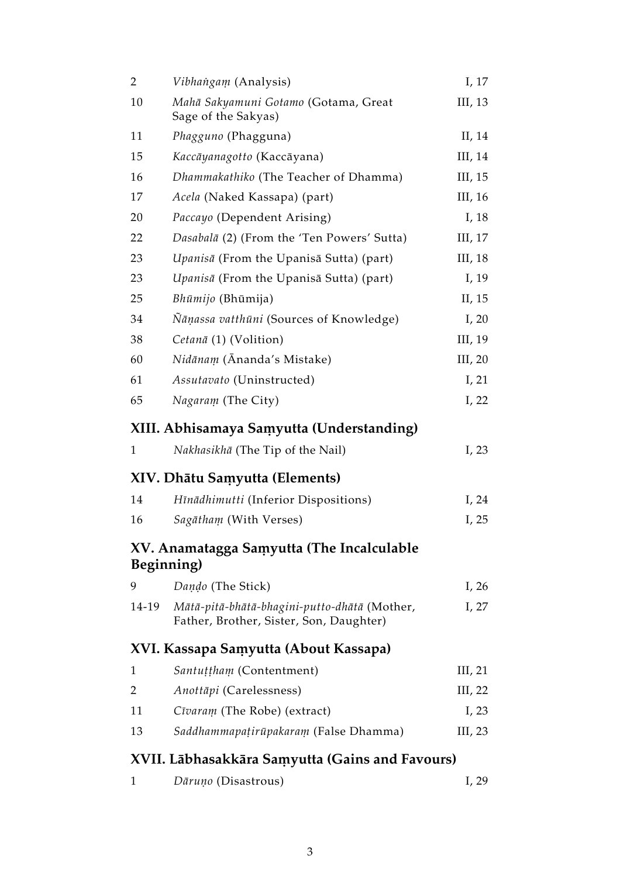| $\overline{2}$ | Vibhangam (Analysis)                                                                    | I, $17$   |
|----------------|-----------------------------------------------------------------------------------------|-----------|
| 10             | Mahā Sakyamuni Gotamo (Gotama, Great<br>Sage of the Sakyas)                             | III, $13$ |
| 11             | Phagguno (Phagguna)                                                                     | II, 14    |
| 15             | Kaccāyanagotto (Kaccāyana)                                                              | III, 14   |
| 16             | Dhammakathiko (The Teacher of Dhamma)                                                   | III, 15   |
| 17             | Acela (Naked Kassapa) (part)                                                            | III, 16   |
| 20             | Paccayo (Dependent Arising)                                                             | I, $18$   |
| 22             | Dasabalā (2) (From the 'Ten Powers' Sutta)                                              | III, 17   |
| 23             | Upanisā (From the Upanisā Sutta) (part)                                                 | III, 18   |
| 23             | Upanisā (From the Upanisā Sutta) (part)                                                 | I, 19     |
| 25             | Bhūmijo (Bhūmija)                                                                       | II, 15    |
| 34             | Nāņassa vatthūni (Sources of Knowledge)                                                 | I, $20$   |
| 38             | Cetanā (1) (Volition)                                                                   | III, 19   |
| 60             | Nidānam (Ānanda's Mistake)                                                              | III, $20$ |
| 61             | Assutavato (Uninstructed)                                                               | I, 21     |
| 65             | Nagaram (The City)                                                                      | I, $22$   |
|                | XIII. Abhisamaya Samyutta (Understanding)                                               |           |
| 1              | Nakhasikhā (The Tip of the Nail)                                                        | I, $23$   |
|                | XIV. Dhātu Samyutta (Elements)                                                          |           |
| 14             | Hīnādhimutti (Inferior Dispositions)                                                    | I, $24$   |
| 16             | Sagātham (With Verses)                                                                  | I, 25     |
| Beginning)     | XV. Anamatagga Samyutta (The Incalculable                                               |           |
| 9              | Dando (The Stick)                                                                       | I, $26$   |
| 14-19          | Mātā-pitā-bhātā-bhagini-putto-dhātā (Mother,<br>Father, Brother, Sister, Son, Daughter) | I, 27     |
|                | XVI. Kassapa Samyutta (About Kassapa)                                                   |           |
| $\mathbf{1}$   | Santuțțham (Contentment)                                                                | III, 21   |
| 2              | Anottāpi (Carelessness)                                                                 | III, $22$ |
| 11             | Cīvaram (The Robe) (extract)                                                            | I, $23$   |
| 13             | Saddhammapatirūpakaram (False Dhamma)                                                   | III, $23$ |
|                | XVII. Lābhasakkāra Saṃyutta (Gains and Favours)                                         |           |

| Dāruņo (Disastrous) | I, 29 |
|---------------------|-------|
|                     |       |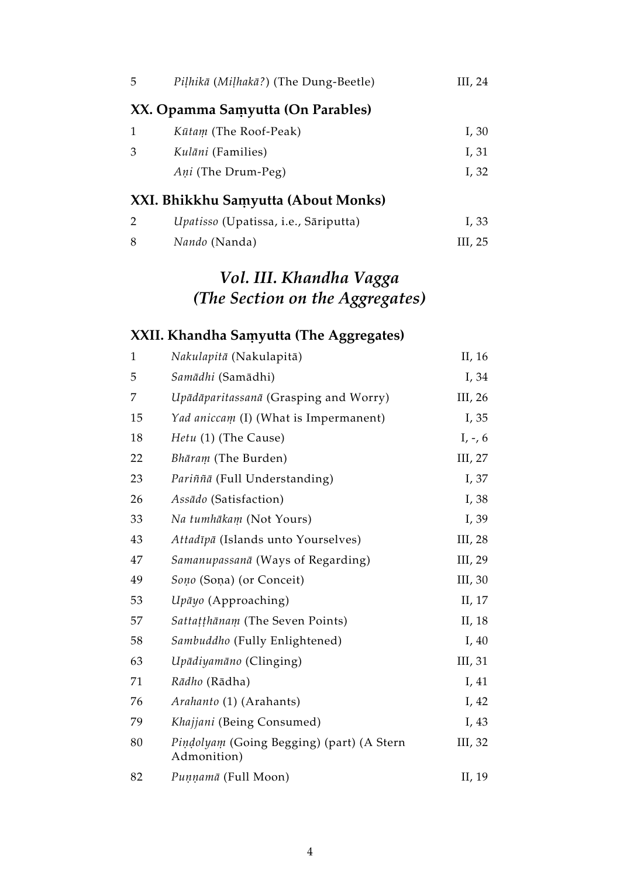| 5 | Piļhikā (Miļhakā?) (The Dung-Beetle) | III, 24 |
|---|--------------------------------------|---------|
|   | XX. Opamma Samyutta (On Parables)    |         |
| 1 | Kūtam (The Roof-Peak)                | I, 30   |
| 3 | <i>Kulāni</i> (Families)             | I, 31   |
|   | <i>Ani</i> (The Drum-Peg)            | I, 32   |
|   | XXI. Bhikkhu Samyutta (About Monks)  |         |
| 2 | Upatisso (Upatissa, i.e., Sāriputta) | I, 33   |
| 8 | Nando (Nanda)                        | III, 25 |

# Vol. III. Khandha Vagga (The Section on the Aggregates)

### XXII. Khandha Saṃyutta (The Aggregates)

| $\mathbf{1}$ | Nakulapitā (Nakulapitā)                                  | II, 16    |
|--------------|----------------------------------------------------------|-----------|
| 5            | Samādhi (Samādhi)                                        | I, 34     |
| 7            | Upādāparitassanā (Grasping and Worry)                    | III, 26   |
| 15           | Yad aniccam (I) (What is Impermanent)                    | I, 35     |
| 18           | Hetu (1) (The Cause)                                     | $I, -, 6$ |
| 22           | Bhāram (The Burden)                                      | III, 27   |
| 23           | Pariññā (Full Understanding)                             | I, 37     |
| 26           | Assādo (Satisfaction)                                    | I, 38     |
| 33           | Na tumhākam (Not Yours)                                  | I, 39     |
| 43           | Attadīpā (Islands unto Yourselves)                       | III, $28$ |
| 47           | Samanupassanā (Ways of Regarding)                        | III, 29   |
| 49           | Sono (Sona) (or Conceit)                                 | III, 30   |
| 53           | Upāyo (Approaching)                                      | II, 17    |
| 57           | Sattațțhānam (The Seven Points)                          | II, 18    |
| 58           | Sambuddho (Fully Enlightened)                            | I, $40$   |
| 63           | Upādiyamāno (Clinging)                                   | III, 31   |
| 71           | Rādho (Rādha)                                            | I, 41     |
| 76           | Arahanto (1) (Arahants)                                  | I, 42     |
| 79           | Khajjani (Being Consumed)                                | I, $43$   |
| 80           | Pindolyam (Going Begging) (part) (A Stern<br>Admonition) | III, 32   |
| 82           | Punnamā (Full Moon)                                      | II, 19    |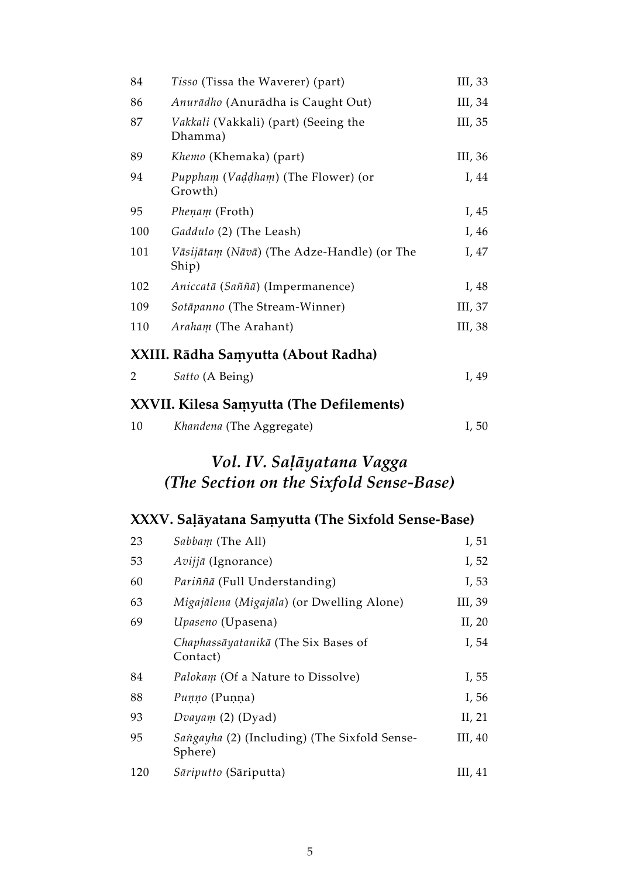| 84  | Tisso (Tissa the Waverer) (part)                    | III, 33 |
|-----|-----------------------------------------------------|---------|
| 86  | Anurādho (Anurādha is Caught Out)                   | III, 34 |
| 87  | Vakkali (Vakkali) (part) (Seeing the<br>Dhamma)     | III, 35 |
| 89  | Khemo (Khemaka) (part)                              | III, 36 |
| 94  | Puppham (Vaddham) (The Flower) (or<br>Growth)       | I, 44   |
| 95  | <i>Phenam</i> (Froth)                               | I, $45$ |
| 100 | Gaddulo (2) (The Leash)                             | I, 46   |
| 101 | Vāsijātam (Nāvā) (The Adze-Handle) (or The<br>Ship) | I, $47$ |
| 102 | Aniccatā (Saññā) (Impermanence)                     | I, 48   |
| 109 | Sotāpanno (The Stream-Winner)                       | III, 37 |
| 110 | <i>Araham</i> (The Arahant)                         | III, 38 |
|     |                                                     |         |

### XXIII. Rādha Samyutta (About Radha)

|  |  | Satto (A Being) | I, $49$ |
|--|--|-----------------|---------|
|--|--|-----------------|---------|

### XXVII. Kilesa Samyutta (The Defilements)

| I, 50 |
|-------|
|       |

## Vol. IV. Saļāyatana Vagga (The Section on the Sixfold Sense-Base)

### XXXV. Saļāyatana Saṃyutta (The Sixfold Sense-Base)

| 23  | Sabbam (The All)                                        | I, $51$   |
|-----|---------------------------------------------------------|-----------|
| 53  | Avijjā (Ignorance)                                      | I, 52     |
| 60  | Pariñña (Full Understanding)                            | I, 53     |
| 63  | Migajālena (Migajāla) (or Dwelling Alone)               | III, 39   |
| 69  | Upaseno (Upasena)                                       | II, $20$  |
|     | Chaphassāyatanikā (The Six Bases of<br>Contact)         | I, 54     |
| 84  | Palokam (Of a Nature to Dissolve)                       | I, 55     |
| 88  | Punno (Punna)                                           | I, $56$   |
| 93  | Dvayam $(2)$ (Dyad)                                     | II, $21$  |
| 95  | Sangayha (2) (Including) (The Sixfold Sense-<br>Sphere) | III, $40$ |
| 120 | Sāriputto (Sāriputta)                                   | III, $41$ |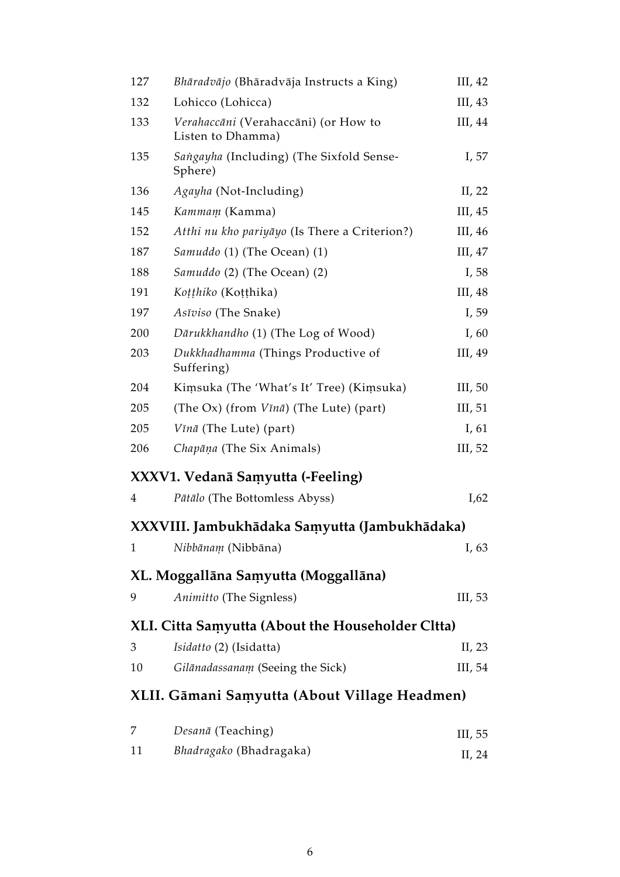| 127          | Bhāradvājo (Bhāradvāja Instructs a King)                  | III, $42$ |
|--------------|-----------------------------------------------------------|-----------|
| 132          | Lohicco (Lohicca)                                         | III, 43   |
| 133          | Verahaccāni (Verahaccāni) (or How to<br>Listen to Dhamma) | III, 44   |
| 135          | Sangayha (Including) (The Sixfold Sense-<br>Sphere)       | I, 57     |
| 136          | Agayha (Not-Including)                                    | II, $22$  |
| 145          | Kammam (Kamma)                                            | III, 45   |
| 152          | Atthi nu kho pariyāyo (Is There a Criterion?)             | III, 46   |
| 187          | Samuddo (1) (The Ocean) (1)                               | III, 47   |
| 188          | Samuddo (2) (The Ocean) (2)                               | I, $58$   |
| 191          | Koțțhiko (Koțțhika)                                       | III, 48   |
| 197          | Asīviso (The Snake)                                       | I, 59     |
| 200          | Dārukkhandho (1) (The Log of Wood)                        | I, $60$   |
| 203          | Dukkhadhamma (Things Productive of<br>Suffering)          | III, 49   |
| 204          | Kimsuka (The 'What's It' Tree) (Kimsuka)                  | III, $50$ |
| 205          | (The Ox) (from $V\bar{\iota}n\bar{a}$ ) (The Lute) (part) | III, $51$ |
| 205          | Vīnā (The Lute) (part)                                    | I, $61$   |
| 206          | Chapāņa (The Six Animals)                                 | III, 52   |
|              | XXXV1. Vedanā Samyutta (-Feeling)                         |           |
| 4            | Pātālo (The Bottomless Abyss)                             | I,62      |
|              | XXXVIII. Jambukhādaka Saṃyutta (Jambukhādaka)             |           |
| $\mathbf{1}$ | Nibbānam (Nibbāna)                                        | I, $63$   |
|              | XL. Moggallāna Samyutta (Moggallāna)                      |           |
| 9            | Animitto (The Signless)                                   | III, 53   |
|              | XLI. Citta Samyutta (About the Householder Cltta)         |           |
| 3            | Isidatto (2) (Isidatta)                                   | II, 23    |
| 10           | Gilānadassanam (Seeing the Sick)                          | III, 54   |
|              | XLII. Gāmani Saṃyutta (About Village Headmen)             |           |
| 7            | Desanā (Teaching)                                         | III, 55   |
| 11           | Bhadragako (Bhadragaka)                                   | II, 24    |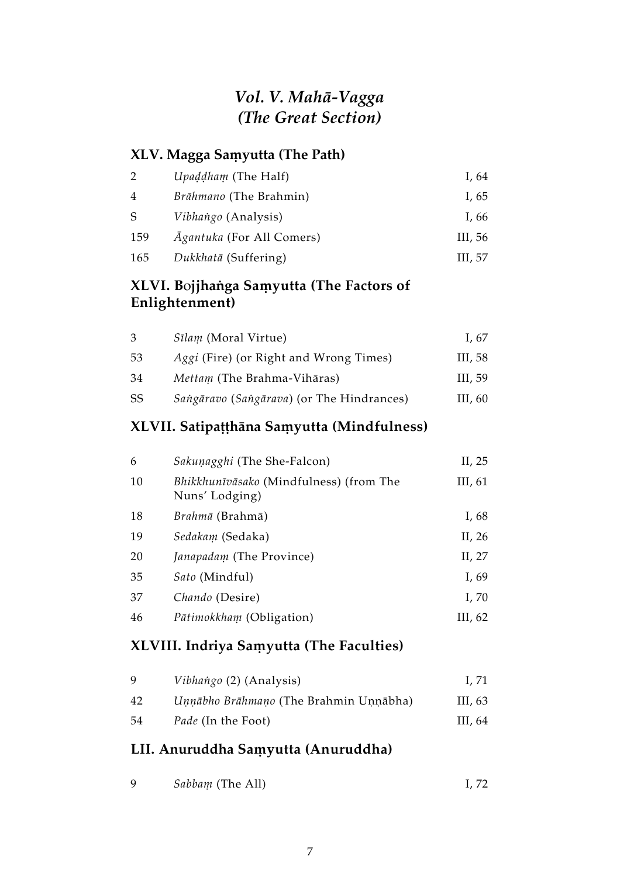### Vol. V. Mahá-Vagga (The Great Section)

#### XLV. Magga Samyutta (The Path)

| 2              | Upaddham (The Half)              | I, 64     |
|----------------|----------------------------------|-----------|
| $\overline{4}$ | <i>Brāhmano</i> (The Brahmin)    | I, $65$   |
| S              | Vibhango (Analysis)              | I, 66     |
| 159            | <i>Agantuka</i> (For All Comers) | III, $56$ |
| 165            | Dukkhatā (Suffering)             | III, 57   |

#### XLVI. Bojjhanga Samyutta (The Factors of Enlightenment)

| 3  | <i>Sīlam</i> (Moral Virtue)                   | I. <sub>67</sub> |
|----|-----------------------------------------------|------------------|
| 53 | <i>Aggi</i> (Fire) (or Right and Wrong Times) | III, 58          |
| 34 | <i>Mettam</i> (The Brahma-Vihāras)            | III, 59          |
| SS | Sangāravo (Sangārava) (or The Hindrances)     | III, $60$        |

### XLVII. Satipațțhāna Samyutta (Mindfulness)

| 6  | Sakuņagghi (The She-Falcon)                               | II, 25    |
|----|-----------------------------------------------------------|-----------|
| 10 | Bhikkhunīvāsako (Mindfulness) (from The<br>Nuns' Lodging) | III, $61$ |
| 18 | <i>Brahmā</i> (Brahmā)                                    | I, $68$   |
| 19 | Sedakam (Sedaka)                                          | II, $26$  |
| 20 | <i>Janapadam</i> (The Province)                           | II, $27$  |
| 35 | <i>Sato</i> (Mindful)                                     | I, 69     |
| 37 | Chando (Desire)                                           | I, 70     |
| 46 | <i>Pātimokkham</i> (Obligation)                           | III, $62$ |

### XLVIII. Indriya Samyutta (The Faculties)

| 9   | Vibhango (2) (Analysis)                | I. 71   |
|-----|----------------------------------------|---------|
| 42  | Unnābho Brāhmano (The Brahmin Unnābha) | III, 63 |
| -54 | <i>Pade</i> (In the Foot)              | III, 64 |

### LII. Anuruddha Samyutta (Anuruddha)

| <i>Sabbam</i> (The All) | I, 72 |
|-------------------------|-------|
|                         |       |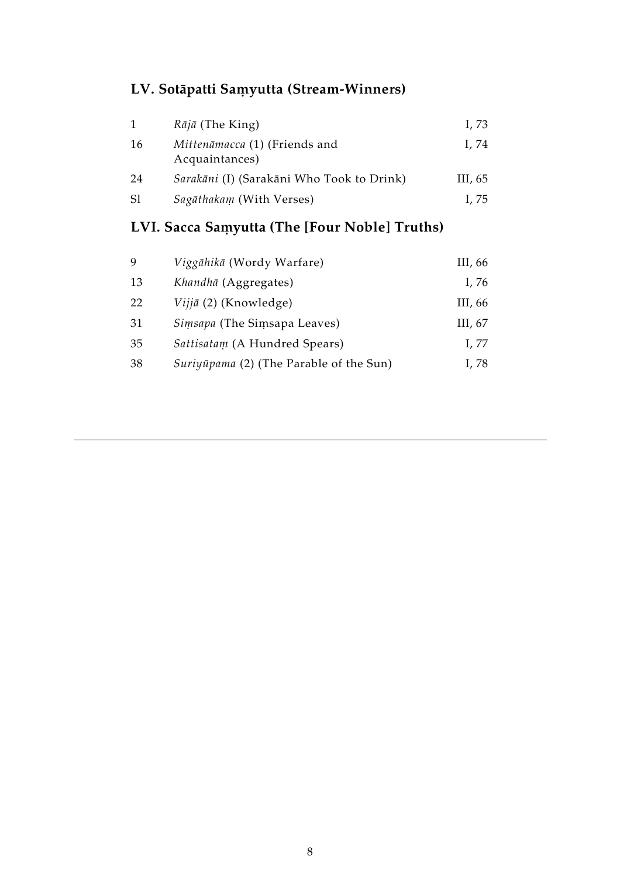# LV. Sotāpatti Samyutta (Stream-Winners)

| 1             | $R\bar{a}j\bar{a}$ (The King)                   | I, 73   |
|---------------|-------------------------------------------------|---------|
| 16            | Mittenāmacca (1) (Friends and<br>Acquaintances) | I. 74   |
| 24            | Sarakāni (I) (Sarakāni Who Took to Drink)       | III, 65 |
| <sub>S1</sub> | Sagāthakam (With Verses)                        | I, 75   |
|               |                                                 |         |

# LVI. Sacca Saṃyutta (The [Four Noble] Truths)

| 9  | Viggāhikā (Wordy Warfare)               | III, 66 |
|----|-----------------------------------------|---------|
| 13 | Khandhā (Aggregates)                    | I, 76   |
| 22 | $Viji\bar{a}$ (2) (Knowledge)           | III, 66 |
| 31 | Simsapa (The Simsapa Leaves)            | III, 67 |
| 35 | Sattisatam (A Hundred Spears)           | I, 77   |
| 38 | Suriyūpama (2) (The Parable of the Sun) | I, 78   |